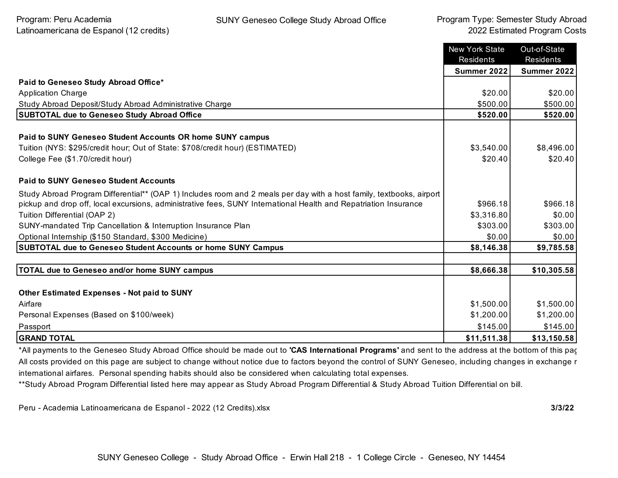|                                                                                                                      | <b>New York State</b><br>Residents | Out-of-State<br>Residents |
|----------------------------------------------------------------------------------------------------------------------|------------------------------------|---------------------------|
|                                                                                                                      | Summer 2022                        | <b>Summer 2022</b>        |
| Paid to Geneseo Study Abroad Office*                                                                                 |                                    |                           |
| <b>Application Charge</b>                                                                                            | \$20.00                            | \$20.00                   |
| Study Abroad Deposit/Study Abroad Administrative Charge                                                              | \$500.00                           | \$500.00                  |
| <b>SUBTOTAL due to Geneseo Study Abroad Office</b>                                                                   | \$520.00                           | \$520.00                  |
| Paid to SUNY Geneseo Student Accounts OR home SUNY campus                                                            |                                    |                           |
| Tuition (NYS: \$295/credit hour; Out of State: \$708/credit hour) (ESTIMATED)                                        | \$3,540.00                         | \$8,496.00                |
| College Fee (\$1.70/credit hour)                                                                                     | \$20.40                            | \$20.40                   |
| <b>Paid to SUNY Geneseo Student Accounts</b>                                                                         |                                    |                           |
| Study Abroad Program Differential** (OAP 1) Includes room and 2 meals per day with a host family, textbooks, airport |                                    |                           |
| pickup and drop off, local excursions, administrative fees, SUNY International Health and Repatriation Insurance     | \$966.18                           | \$966.18                  |
| Tuition Differential (OAP 2)                                                                                         | \$3,316.80                         | \$0.00                    |
| SUNY-mandated Trip Cancellation & Interruption Insurance Plan                                                        | \$303.00                           | \$303.00                  |
| Optional Internship (\$150 Standard, \$300 Medicine)                                                                 | \$0.00                             | \$0.00                    |
| SUBTOTAL due to Geneseo Student Accounts or home SUNY Campus                                                         | \$8,146.38                         | \$9,785.58                |
|                                                                                                                      |                                    |                           |
| TOTAL due to Geneseo and/or home SUNY campus                                                                         | \$8,666.38                         | \$10,305.58               |
|                                                                                                                      |                                    |                           |
| <b>Other Estimated Expenses - Not paid to SUNY</b>                                                                   |                                    |                           |
| Airfare                                                                                                              | \$1,500.00                         | \$1,500.00                |
| Personal Expenses (Based on \$100/week)                                                                              | \$1,200.00                         | \$1,200.00                |
| Passport                                                                                                             | \$145.00                           | \$145.00                  |
| <b>GRAND TOTAL</b>                                                                                                   | \$11,511.38                        | \$13,150.58               |

\*All payments to the Geneseo Study Abroad Office should be made out to **'CAS International Programs'** and sent to the address at the bottom of this page. All costs provided on this page are subject to change without notice due to factors beyond the control of SUNY Geneseo, including changes in exchange r international airfares. Personal spending habits should also be considered when calculating total expenses.

\*\*Study Abroad Program Differential listed here may appear as Study Abroad Program Differential & Study Abroad Tuition Differential on bill.

Peru - Academia Latinoamericana de Espanol - 2022 (12 Credits).xlsx **3/3/22**